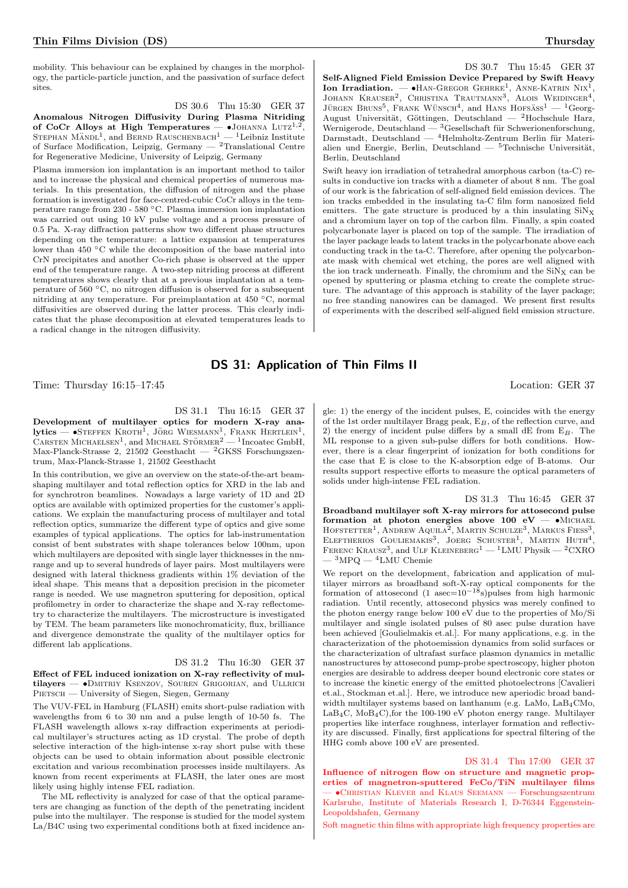mobility. This behaviour can be explained by changes in the morphology, the particle-particle junction, and the passivation of surface defect sites.

DS 30.6 Thu 15:30 GER 37 Anomalous Nitrogen Diffusivity During Plasma Nitriding of CoCr Alloys at High Temperatures —  $\bullet$ JOHANNA LUTZ<sup>1,2</sup>, STEPHAN MÄNDL<sup>1</sup>, and BERND RAUSCHENBACH<sup>1</sup> — <sup>1</sup>Leibniz Institute of Surface Modification, Leipzig, Germany — <sup>2</sup>Translational Centre for Regenerative Medicine, University of Leipzig, Germany

Plasma immersion ion implantation is an important method to tailor and to increase the physical and chemical properties of numerous materials. In this presentation, the diffusion of nitrogen and the phase formation is investigated for face-centred-cubic CoCr alloys in the temperature range from 230 - 580 ◦C. Plasma immersion ion implantation was carried out using 10 kV pulse voltage and a process pressure of 0.5 Pa. X-ray diffraction patterns show two different phase structures depending on the temperature: a lattice expansion at temperatures lower than 450 ◦C while the decomposition of the base material into CrN precipitates and another Co-rich phase is observed at the upper end of the temperature range. A two-step nitriding process at different temperatures shows clearly that at a previous implantation at a temperature of 560 ◦C, no nitrogen diffusion is observed for a subsequent nitriding at any temperature. For preimplantation at 450 ◦C, normal diffusivities are observed during the latter process. This clearly indicates that the phase decomposition at elevated temperatures leads to a radical change in the nitrogen diffusivity.

DS 30.7 Thu 15:45 GER 37 Self-Aligned Field Emission Device Prepared by Swift Heavy Ion Irradiation.  $-\bullet$  HAN-GREGOR GEHRKE<sup>1</sup>, ANNE-KATRIN NIX<sup>1</sup> Ion Irradiation. — •Han-Gregor Gehrke<sup>1</sup>, Anne-Katrin Nix<sup>1</sup>, Johann Krauser<sup>2</sup>, Christina Trautmann<sup>3</sup>, Alois Weidinger<sup>4</sup>, JÜRGEN BRUNS<sup>5</sup>, FRANK WÜNSCH<sup>4</sup>, and HANS HOFSASS<sup>1</sup> - <sup>1</sup>Georg-August Universität, Göttingen, Deutschland — <sup>2</sup>Hochschule Harz, Wernigerode, Deutschland —  $^3$ Gesellschaft für Schwerionenforschung, Darmstadt, Deutschland — <sup>4</sup>Helmholtz-Zentrum Berlin für Materialien und Energie, Berlin, Deutschland —  ${}^{5}$ Technische Universität, Berlin, Deutschland

Swift heavy ion irradiation of tetrahedral amorphous carbon (ta-C) results in conductive ion tracks with a diameter of about 8 nm. The goal of our work is the fabrication of self-aligned field emission devices. The ion tracks embedded in the insulating ta-C film form nanosized field emitters. The gate structure is produced by a thin insulating  $\text{SiN}_X$ and a chromium layer on top of the carbon film. Finally, a spin coated polycarbonate layer is placed on top of the sample. The irradiation of the layer package leads to latent tracks in the polycarbonate above each conducting track in the ta-C. Therefore, after opening the polycarbonate mask with chemical wet etching, the pores are well aligned with the ion track underneath. Finally, the chromium and the  $\text{SiN}_X$  can be opened by sputtering or plasma etching to create the complete structure. The advantage of this approach is stability of the layer package; no free standing nanowires can be damaged. We present first results of experiments with the described self-aligned field emission structure.

## DS 31: Application of Thin Films II

Time: Thursday 16:15–17:45 Location: GER 37

DS 31.1 Thu 16:15 GER 37

Development of multilayer optics for modern X-ray ana $lytics$  –  $\bullet$ Steffen Kroth<sup>1</sup>, Jörg Wiesmann<sup>1</sup>, Frank Hertlein<sup>1</sup>, CARSTEN MICHAELSEN<sup>1</sup>, and MICHAEL STÖRMER<sup>2</sup> — <sup>1</sup>Incoatec GmbH, Max-Planck-Strasse 2, 21502 Geesthacht —  ${}^{2}$ GKSS Forschungszentrum, Max-Planck-Strasse 1, 21502 Geesthacht

In this contribution, we give an overview on the state-of-the-art beamshaping multilayer and total reflection optics for XRD in the lab and for synchrotron beamlines. Nowadays a large variety of 1D and 2D optics are available with optimized properties for the customer's applications. We explain the manufacturing process of multilayer and total reflection optics, summarize the different type of optics and give some examples of typical applications. The optics for lab-instrumentation consist of bent substrates with shape tolerances below 100nm, upon which multilayers are deposited with single layer thicknesses in the nmrange and up to several hundreds of layer pairs. Most multilayers were designed with lateral thickness gradients within 1% deviation of the ideal shape. This means that a deposition precision in the picometer range is needed. We use magnetron sputtering for deposition, optical profilometry in order to characterize the shape and X-ray reflectometry to characterize the multilayers. The microstructure is investigated by TEM. The beam parameters like monochromaticity, flux, brilliance and divergence demonstrate the quality of the multilayer optics for different lab applications.

### DS 31.2 Thu 16:30 GER 37

Effect of FEL induced ionization on X-ray reflectivity of multilayers — •DMITRIY KSENZOV, SOUREN GRIGORIAN, and ULLRICH PIETSCH — University of Siegen, Siegen, Germany

The VUV-FEL in Hamburg (FLASH) emits short-pulse radiation with wavelengths from 6 to 30 nm and a pulse length of 10-50 fs. The FLASH wavelength allows x-ray diffraction experiments at periodical multilayer's structures acting as 1D crystal. The probe of depth selective interaction of the high-intense x-ray short pulse with these objects can be used to obtain information about possible electronic excitation and various recombination processes inside multilayers. As known from recent experiments at FLASH, the later ones are most likely using highly intense FEL radiation.

The ML reflectivity is analyzed for case of that the optical parameters are changing as function of the depth of the penetrating incident pulse into the multilayer. The response is studied for the model system La/B4C using two experimental conditions both at fixed incidence an-

gle: 1) the energy of the incident pulses, E, coincides with the energy of the 1st order multilayer Bragg peak,  $E_B$ , of the reflection curve, and 2) the energy of incident pulse differs by a small dE from  $E_B$ . The ML response to a given sub-pulse differs for both conditions. However, there is a clear fingerprint of ionization for both conditions for the case that E is close to the K-absorption edge of B-atoms. Our results support respective efforts to measure the optical parameters of solids under high-intense FEL radiation.

DS 31.3 Thu 16:45 GER 37 Broadband multilayer soft X-ray mirrors for attosecond pulse formation at photon energies above  $100 \text{ eV} - \bullet \text{MICHAEL}$ HOFSTETTER<sup>1</sup>, ANDREW AQUILA<sup>2</sup>, MARTIN SCHULZE<sup>3</sup>, MARKUS FIESS<sup>3</sup>, ELEFTHERIOS GOULIEMAKIS<sup>3</sup>, JOERG SCHUSTER<sup>1</sup>, MARTIN HUTH<sup>4</sup>, FERENC KRAUSZ<sup>3</sup>, and ULF KLEINEBERG<sup>1</sup> — <sup>1</sup>LMU Physik — <sup>2</sup>CXRO  $-$ <sup>3</sup>MPQ — <sup>4</sup>LMU Chemie

We report on the development, fabrication and application of multilayer mirrors as broadband soft-X-ray optical components for the formation of attosecond (1 asec= $10^{-18}$ s)pulses from high harmonic radiation. Until recently, attosecond physics was merely confined to the photon energy range below 100 eV due to the properties of Mo/Si multilayer and single isolated pulses of 80 asec pulse duration have been achieved [Goulielmakis et.al.]. For many applications, e.g. in the characterization of the photoemission dynamics from solid surfaces or the characterization of ultrafast surface plasmon dynamics in metallic nanostructures by attosecond pump-probe spectroscopy, higher photon energies are desirable to address deeper bound electronic core states or to increase the kinetic energy of the emitted photoelectrons [Cavalieri et.al., Stockman et.al.]. Here, we introduce new aperiodic broad bandwidth multilayer systems based on lanthanum (e.g. LaMo, LaB4CMo,  $LaB_4C$ ,  $MoB_4C$ , for the 100-190 eV photon energy range. Multilayer properties like interface roughness, interlayer formation and reflectivity are discussed. Finally, first applications for spectral filtering of the HHG comb above 100 eV are presented.

DS 31.4 Thu 17:00 GER 37 Influence of nitrogen flow on structure and magnetic properties of magnetron-sputtered FeCo/TiN multilayer films — •Christian Klever and Klaus Seemann — Forschungszentrum Karlsruhe, Institute of Materials Research I, D-76344 Eggenstein-Leopoldshafen, Germany

Soft magnetic thin films with appropriate high frequency properties are